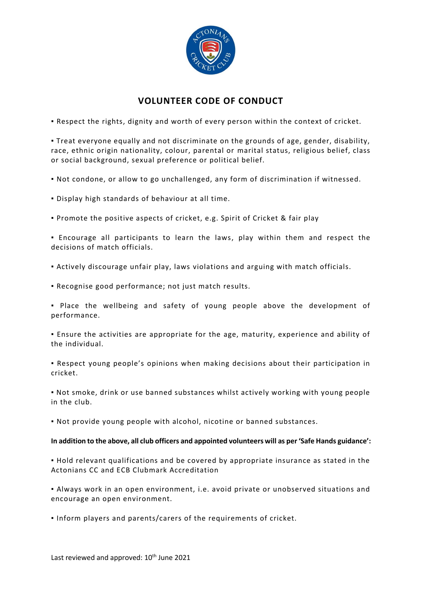

## **VOLUNTEER CODE OF CONDUCT**

▪ Respect the rights, dignity and worth of every person within the context of cricket.

▪ Treat everyone equally and not discriminate on the grounds of age, gender, disability, race, ethnic origin nationality, colour, parental or marital status, religious belief, class or social background, sexual preference or political belief.

▪ Not condone, or allow to go unchallenged, any form of discrimination if witnessed.

▪ Display high standards of behaviour at all time.

▪ Promote the positive aspects of cricket, e.g. Spirit of Cricket & fair play

▪ Encourage all participants to learn the laws, play within them and respect the decisions of match officials.

▪ Actively discourage unfair play, laws violations and arguing with match officials.

▪ Recognise good performance; not just match results.

▪ Place the wellbeing and safety of young people above the development of performance.

▪ Ensure the activities are appropriate for the age, maturity, experience and ability of the individual.

▪ Respect young people's opinions when making decisions about their participation in cricket.

▪ Not smoke, drink or use banned substances whilst actively working with young people in the club.

▪ Not provide young people with alcohol, nicotine or banned substances.

## **In addition to the above, all club officers and appointed volunteers will as per 'Safe Hands guidance':**

▪ Hold relevant qualifications and be covered by appropriate insurance as stated in the Actonians CC and ECB Clubmark Accreditation

▪ Always work in an open environment, i.e. avoid private or unobserved situations and encourage an open environment.

▪ Inform players and parents/carers of the requirements of cricket.